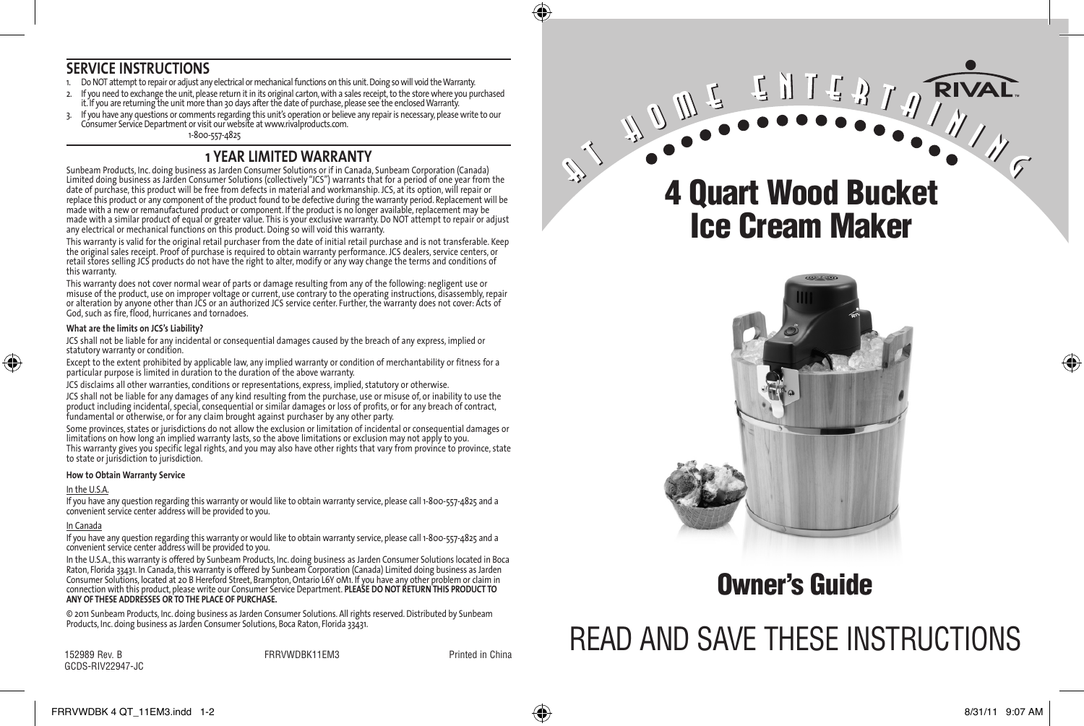#### **SERVICE INSTRUCTIONS**

- 1. Do NOT attempt to repair or adjust any electrical or mechanical functions on this unit. Doing so will void the Warranty.
- 2. If you need to exchange the unit, please return it in its original carton, with a sales receipt, to the store where you purchased it. If you are returning the unit more than 30 days after the date of purchase, please see the enclosed Warranty.
- 3. If you have any questions or comments regarding this unit's operation or believe any repair is necessary, please write to our Consumer Service Department or visit our website at www.rivalproducts.com.

1-800-557-4825

#### **1 YEAR LIMITED WARRANTY**

Sunbeam Products, Inc. doing business as Jarden Consumer Solutions or if in Canada, Sunbeam Corporation (Canada) Limited doing business as Jarden Consumer Solutions (collectively "JCS") warrants that for a period of one year from the date of purchase, this product will be free from defects in material and workmanship. JCS, at its option, will repair or replace this product or any component of the product found to be defective during the warranty period. Replacement will be made with a new or remanufactured product or component. If the product is no longer available,replacement may be made with a similar product of equal or greater value. This is your exclusive warranty. Do NOT attempt to repair or adjust any electrical or mechanical functions on this product. Doing so will void this warranty.

This warranty is valid for the original retail purchaser from the date of initial retail purchase and is not transferable. Keep the original sales receipt. Proof of purchase is required to obtain warranty performance. JCS dealers, service centers, or retail stores selling JCS products do not have the right to alter, modify or any way change the terms and conditions of this warranty.

This warranty does not cover normal wear of parts or damage resulting from any of the following: negligent use or misuse of the product, use on improper voltage or current, use contrary to the operating instructions, disassembly, repair or alteration by anyone other than JCS or an authorized JCS service center. Further, the warranty does not cover: Acts of God, such as fire, flood, hurricanes and tornadoes.

#### **What are the limits on JCS's Liability?**

JCS shall not be liable for any incidental or consequential damages caused by the breach of any express, implied or statutory warranty or condition.

Except to the extent prohibited by applicable law, any implied warranty or condition of merchantability or fitness for a particular purpose is limited in duration to the duration of the above warranty.

JCS disclaims all other warranties, conditions or representations, express, implied, statutory or otherwise.

JCS shall not be liable for any damages of any kind resulting from the purchase, use or misuse of, or inability to use the product including incidental, special, consequential or similar damages or loss of profits, or for any breach of contract, fundamental or otherwise, or for any claim brought against purchaser by any other party.

Some provinces, states or jurisdictions do not allow the exclusion or limitation of incidental or consequential damages or limitations on how long an implied warranty lasts, so the above limitations or exclusion may not apply to you. This warranty gives you specific legal rights, and you may also have other rights that vary from province to province, state to state or jurisdiction to jurisdiction.

#### **How to Obtain Warranty Service**

#### In the U.S.A.

⊕

If you have any question regarding this warranty or would like to obtain warranty service, please call 1-800-557-4825 and a convenient service center address will be provided to you.

#### In Canada

If you have any question regarding this warranty or would like to obtain warranty service, please call 1-800-557-4825 and a convenient service center address will be provided to you.

In the U.S.A.,this warranty is offered by Sunbeam Products, Inc. doing business as Jarden Consumer Solutions located in Boca Raton, Florida 33431. In Canada, this warranty is offered by Sunbeam Corporation (Canada) Limited doing business as Jarden Consumer Solutions, located at 20 B Hereford Street, Brampton, Ontario L6Y 0M1. If you have any other problem or claim in connection with this product, please write our Consumer Service Department. **PLEASE DO NOT RETURN THIS PRODUCT TO ANY OF THESE ADDRESSES OR TO THE PLACE OF PURCHASE.** 

© 2011 Sunbeam Products, Inc. doing business as Jarden Consumer Solutions. All rights reserved.Distributed by Sunbeam Products, Inc. doing business as Jarden Consumer Solutions, Boca Raton, Florida 33431.

152989 Rev. B FRRVWDBK11EM3 Printed in China GCDS-RIV22947-JC

# 4 Quart Wood Bucket Ice Cream Maker



## Owner's Guide

# READ AND SAVE THESE INSTRUCTIONS

FRRVWDBK 4 QT\_11EM3.indd 1-2 8/31/11 9:07 AM



♠

♠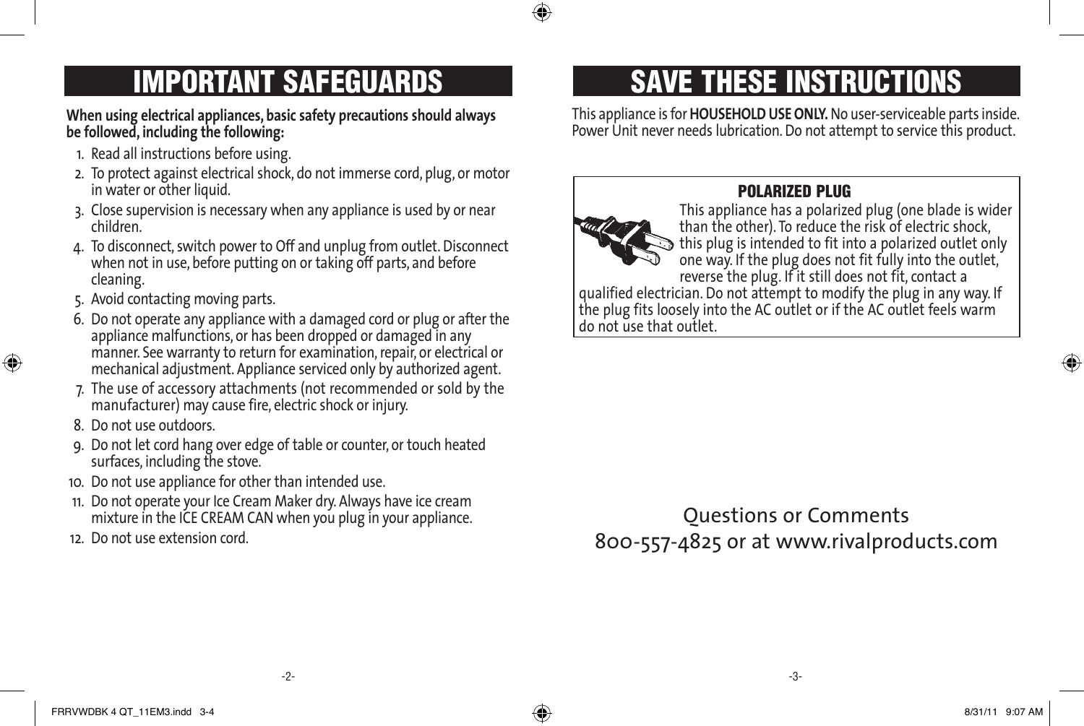**When using electrical appliances, basic safety precautions should always be followed, including the following:** 

- 1. Read all instructions before using.
- 2. To protect against electrical shock, do not immerse cord, plug, or motor in water or other liquid.
- 3. Close supervision is necessary when any appliance is used by or near children.
- 4. To disconnect, switch power to Off and unplug from outlet. Disconnect when not in use, before putting on or taking off parts, and before cleaning.
- 5. Avoid contacting moving parts.
- 6. Do not operate any appliance with a damaged cord or plug or after the appliance malfunctions, or has been dropped or damaged in any manner. See warranty to return for examination, repair, or electrical or mechanical adjustment. Appliance serviced only by authorized agent.
- 7. The use of accessory attachments (not recommended or sold by the manufacturer) may cause fire, electric shock or injury.
- 8. Do not use outdoors.

⊕

- 9. Do not let cord hang over edge of table or counter, or touch heated surfaces, including the stove.
- 10. Do not use appliance for other than intended use.
- 11. Do not operate your Ice Cream Maker dry. Always have ice cream mixture in the ICE CREAM CAN when you plug in your appliance.
- 12. Do not use extension cord.

# IMPORTANT SAFEGUARDS THESE INSTRUCTIONS

This appliance is for**HOUSEHOLD USE ONLY.** No user-serviceable parts inside. Power Unit never needs lubrication.Do not attempt to service this product.



#### POLARIZED PLUG

This appliance has a polarized plug (one blade is wider than the other). To reduce the risk of electric shock, this plug is intended to fit into a polarized outlet only one way. If the plug does not fit fully into the outlet, reverse the plug. If it still does not fit, contact a qualified electrician. Do not attempt to modify the plug in any way. If the plug fits loosely into the AC outlet or if the AC outlet feels warm do not use that outlet.

Questions or Comments 800-557-4825 or at www.rivalproducts.com

-3-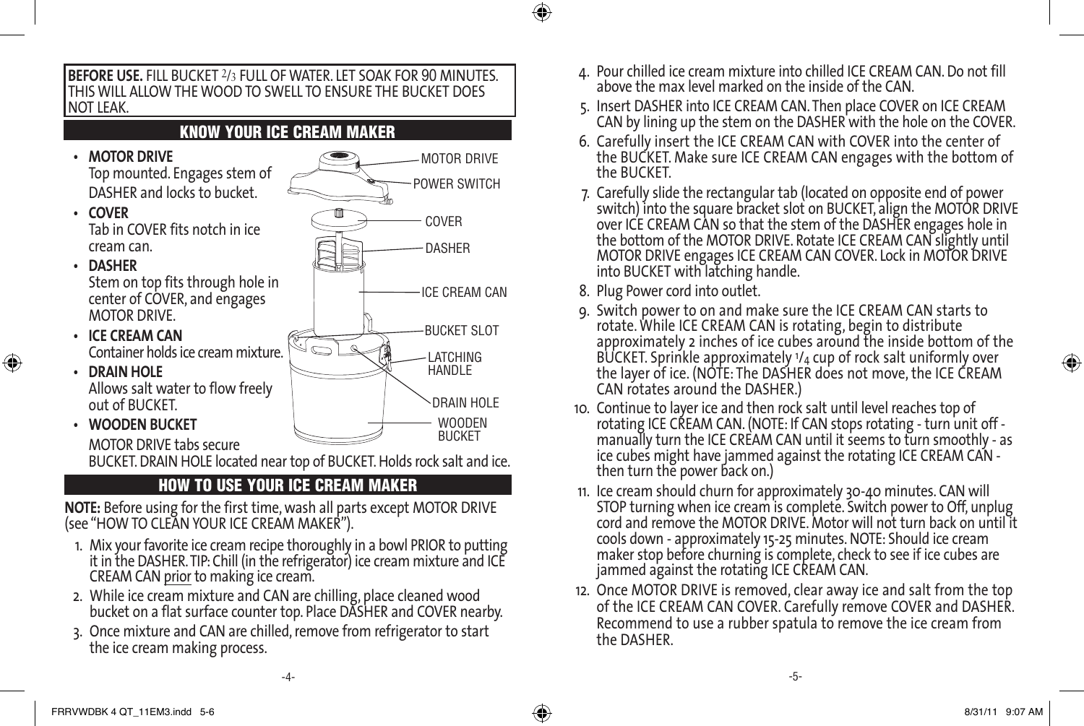

#### HOW TO USE YOUR ICE CREAM MAKER

**NOTE:** Before using for the first time, wash all parts except MOTOR DRIVE (see "HOW TO CLEAN YOUR ICE CREAM MAKER").

- 1. Mix your favorite ice cream recipe thoroughly in a bowl PRIOR to putting it in the DASHER.TIP:Chill (in the refrigerator) ice cream mixture and ICE CREAM CAN prior to making ice cream.
- 2. While ice cream mixture and CAN are chilling, place cleaned wood bucket on a flat surface counter top. Place DASHER and COVER nearby.
- 3. Once mixture and CAN are chilled, remove from refrigerator to start the ice cream making process.
- 4. Pour chilled ice cream mixture into chilled ICE CREAM CAN. Do not fill above the max level marked on the inside of the CAN.
- 5. Insert DASHER into ICE CREAM CAN. Then place COVER on ICE CREAM CAN by lining up the stem on the DASHER with the hole on the COVER.
- 6. Carefully insert the ICE CREAM CAN with COVER into the center of the BUCKET. Make sure ICE CREAM CAN engages with the bottom of the BUCKET.
- 7. Carefully slide the rectangular tab (located on opposite end of power switch) into the square bracket slot on BUCKET, align the MOTOR DRIVE over ICE CREAM CAN so that the stem of the DASHER engages hole in the bottom of the MOTOR DRIVE. Rotate ICE CREAM CAN slightly until MOTOR DRIVE engages ICE CREAM CAN COVER. Lock in MOTOR DRIVE into BUCKET with latching handle.
- 8. Plug Power cord into outlet.

⊕

- 9. Switch power to on and make sure the ICE CREAM CAN starts to rotate. While ICE CREAM CAN is rotating, begin to distribute approximately 2 inches of ice cubes around the inside bottom of the BUCKET. Sprinkle approximately 1/4 cup of rock salt uniformly over the layer of ice. (NOTE: The DASHER does not move, the ICE CREAM CAN rotates around the DASHER.)
- 10. Continue to layer ice and then rock salt until level reaches top of rotating ICE CREAM CAN. (NOTE: If CAN stops rotating - turn unit off manually turn the ICE CREAM CAN until it seems to turn smoothly - as ice cubes might have jammed against the rotating ICE CREAM CAN then turn the power back on.)
- 11. Ice cream should churn for approximately 30-40 minutes. CAN will STOP turning when ice cream is complete. Switch power to Off, unplug cord and remove the MOTOR DRIVE. Motor will not turn back on until it cools down - approximately 15-25 minutes. NOTE: Should ice cream maker stop before churning is complete, check to see if ice cubes are jammed against the rotating ICE CREAM CAN.
- 12. Once MOTOR DRIVE is removed, clear away ice and salt from the top of the ICE CREAM CAN COVER. Carefully remove COVER and DASHER. Recommend to use a rubber spatula to remove the ice cream from the DASHER.

⊕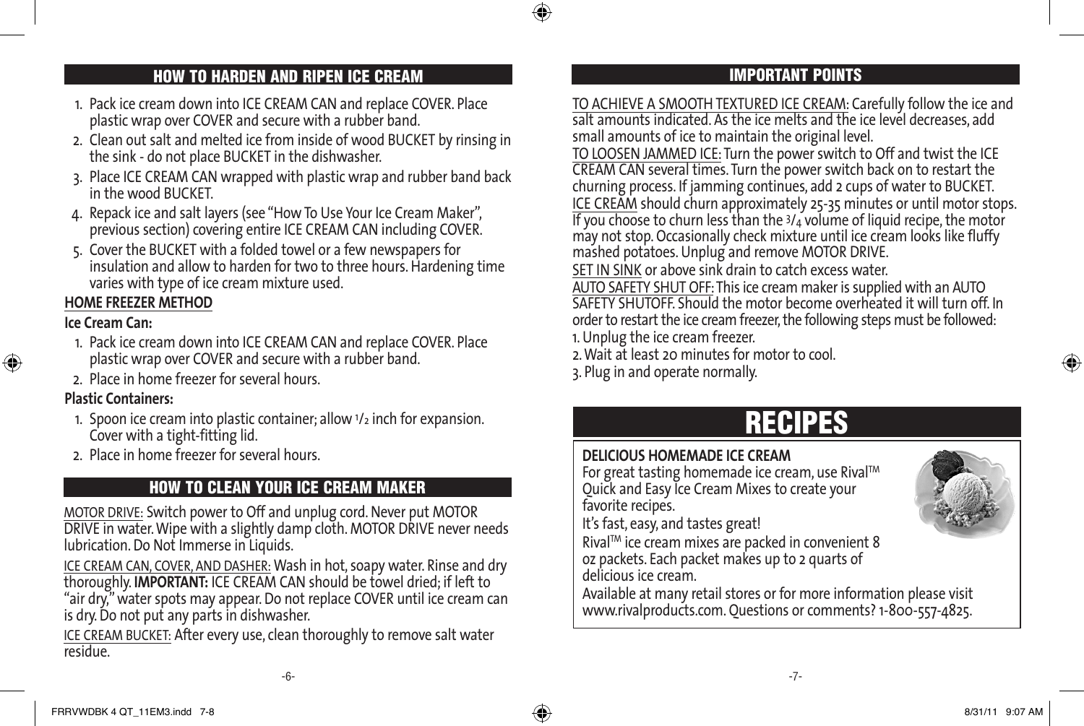## HOW TO HARDEN AND RIPEN ICE CREAM IMPORTANT POINTS

- 1. Pack ice cream down into ICE CREAM CAN and replace COVER. Place plastic wrap over COVER and secure with a rubber band.
- 2. Clean out salt and melted ice from inside of wood BUCKET by rinsing in the sink - do not place BUCKET in the dishwasher.
- 3. Place ICE CREAM CAN wrapped with plastic wrap and rubber band back in the wood BUCKET.
- 4. Repack ice and salt layers (see "How To Use Your Ice Cream Maker", previous section) covering entire ICE CREAM CAN including COVER.
- 5. Cover the BUCKET with a folded towel or a few newspapers for insulation and allow to harden for two to three hours. Hardening time varies with type of ice cream mixture used.

## **HOME FREEZER METHOD**

#### **Ice Cream Can:**

⊕

- 1. Pack ice cream down into ICE CREAM CAN and replace COVER. Place plastic wrap over COVER and secure with a rubber band.
- 2. Place in home freezer for several hours.

#### **Plastic Containers:**

- 1. Spoon ice cream into plastic container; allow  $1/2$  inch for expansion. Cover with a tight-fitting lid.
- 2. Place in home freezer for several hours.

## HOW TO CLEAN YOUR ICE CREAM MAKER

MOTOR DRIVE: Switch power to Off and unplug cord. Never put MOTOR DRIVE in water.Wipe with a slightly damp cloth. MOTOR DRIVE never needs lubrication.Do Not Immerse in Liquids.

ICE CREAM CAN, COVER, AND DASHER: Wash in hot, soapy water. Rinse and dry thoroughly. **IMPORTANT:** ICE CREAM CAN should be towel dried; if left to "air dry,"water spots may appear.Do not replace COVER until ice cream can is dry.Do not put any parts in dishwasher.

ICE CREAM BUCKET: After every use, clean thoroughly to remove salt water residue.

TO ACHIEVE A SMOOTH TEXTURED ICE CREAM: Carefully follow the ice and salt amounts indicated. As the ice melts and the ice level decreases, add small amounts of ice to maintain the original level.

TO LOOSEN JAMMED ICE:Turn the power switch to Off and twist the ICE CREAM CAN several times. Turn the power switch back on to restart the churning process. If jamming continues, add 2 cups of water to BUCKET. ICE CREAM should churn approximately 25-35 minutes or until motor stops. If you choose to churn less than the  $3/4$  volume of liquid recipe, the motor may not stop. Occasionally check mixture until ice cream looks like fluffy mashed potatoes.Unplug and remove MOTOR DRIVE.

SET IN SINK or above sink drain to catch excess water.

AUTO SAFETY SHUT OFF:This ice cream maker is supplied with an AUTO SAFETY SHUTOFF. Should the motor become overheated it will turn off. In order to restart the ice cream freezer, the following steps must be followed:

1.Unplug the ice cream freezer.

2.Wait at least 20 minutes for motor to cool.

3. Plug in and operate normally.

## RECIPES

#### **DELICIOUS HOMEMADE ICE CREAM**

For great tasting homemade ice cream, use Rival™ Quick and Easy Ice Cream Mixes to create your favorite recipes.

It's fast, easy, and tastes great!

RivalTM ice cream mixes are packed in convenient 8 oz packets. Each packet makes up to 2 quarts of delicious ice cream.

Available at many retail stores or for more information please visit www.rivalproducts.com. Questions or comments? 1-800-557-4825.





♠

♠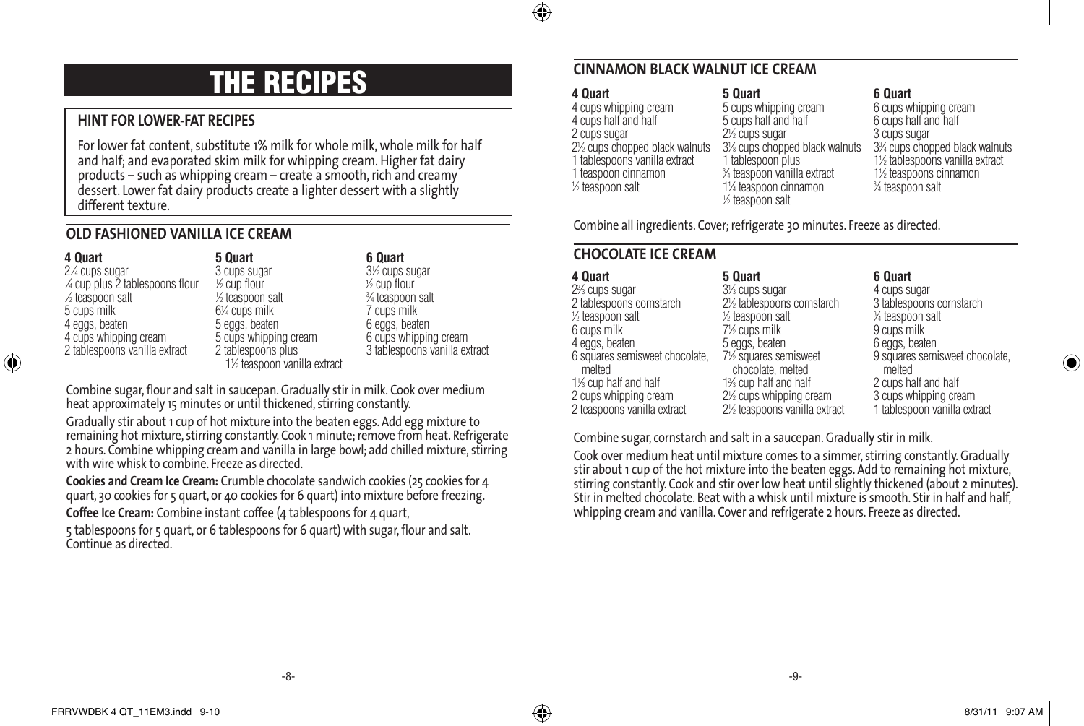

# THE RECIPES

#### **HINT FOR LOWER-FAT RECIPES**

For lower fat content, substitute 1% milk for whole milk, whole milk for half and half; and evaporated skim milk for whipping cream. Higher fat dairy products – such as whipping cream – create a smooth, rich and creamy dessert. Lower fat dairy products create a lighter dessert with a slightly different texture.

#### **OLD FASHIONED VANILLA ICE CREAM**

⊕

| 4 Quart<br>5 Quart                                          |  |
|-------------------------------------------------------------|--|
| 2¼ cups sugar<br>3 cups sugar                               |  |
| 1/4 cup plus 2 tablespoons flour<br>$\frac{1}{2}$ cup flour |  |
| ½ teaspoon salt<br>1/2 teaspoon salt                        |  |
| 6¼ cups milk<br>5 cups milk                                 |  |
| 4 eggs, beaten<br>5 eggs, beaten                            |  |
| 5 cups whipping cream<br>4 cups whipping cream              |  |
| 2 tablespoons vanilla extract<br>2 tablespoons plus         |  |
| 11/2 teaspoon vanilla extract                               |  |

## **6 Quart**

31 ⁄2 cups sugar 1 ⁄2 cup flour 3 ⁄4 teaspoon salt 7 cups milk 6 eggs, beaten 6 cups whipping cream 3 tablespoons vanilla extract

Combine sugar, flour and salt in saucepan. Gradually stir in milk. Cook over medium heat approximately 15 minutes or until thickened, stirring constantly.

Gradually stir about 1 cup of hot mixture into the beaten eggs. Add egg mixture to remaining hot mixture, stirring constantly. Cook 1 minute; remove from heat. Refrigerate 2 hours. Combine whipping cream and vanilla in large bowl; add chilled mixture, stirring with wire whisk to combine. Freeze as directed.

**Cookies and Cream Ice Cream:** Crumble chocolate sandwich cookies (25 cookies for 4 quart, 30 cookies for 5 quart, or 40 cookies for 6 quart) into mixture before freezing. **Coffee Ice Cream:** Combine instant coffee (4 tablespoons for 4 quart,

5 tablespoons for 5 quart, or 6 tablespoons for 6 quart) with sugar,flour and salt. Continue as directed.

#### **CINNAMON BLACK WALNUT ICE CREAM**

#### **4 Quart**

4 cups whipping cream 4 cups half and half 2 cups sugar 21 ⁄2 cups chopped black walnuts 1 tablespoons vanilla extract 1 teaspoon cinnamon 1 ⁄2 teaspoon salt

#### **5 Quart**

5 cups whipping cream 5 cups half and half ⁄2 cups sugar ⁄8 cups chopped black walnuts 1 tablespoon plus ⁄4 teaspoon vanilla extract ⁄4 teaspoon cinnamon ⁄2 teaspoon salt

**6 Quart**

6 cups whipping cream 6 cups half and half 3 cups sugar 33 ⁄4 cups chopped black walnuts 11 ⁄2 tablespoons vanilla extract 11 ⁄2 teaspoons cinnamon 3 ⁄4 teaspoon salt

Combine all ingredients. Cover; refrigerate 30 minutes. Freeze as directed.

#### **CHOCOLATE ICE CREAM**

| 4 Quart                                  | 5 Quart                                     | 6 Quart                                  |
|------------------------------------------|---------------------------------------------|------------------------------------------|
| 2% cups sugar                            | 31/ <sub>3</sub> cups sugar                 | 4 cups sugar                             |
| 2 tablespoons cornstarch                 | 21/ <sub>2</sub> tablespoons cornstarch     | 3 tablespoons cornstarch                 |
| 1/ <sub>2</sub> teaspoon salt            | $\frac{1}{2}$ teaspoon salt                 | 3/4 teaspoon salt                        |
| 6 cups milk                              | 7½ cups milk                                | 9 cups milk                              |
| 4 eggs, beaten                           | 5 eggs, beaten                              | 6 eggs, beaten                           |
| 6 squares semisweet chocolate.<br>melted | 71/2 squares semisweet<br>chocolate, melted | 9 squares semisweet chocolate,<br>melted |
| 1% cup half and half                     | 1% cup half and half                        | 2 cups half and half                     |
| 2 cups whipping cream                    | 2½ cups whipping cream                      | 3 cups whipping cream                    |
| 2 teaspoons vanilla extract              | 2½ teaspoons vanilla extract                | 1 tablespoon vanilla extract             |

Combine sugar, cornstarch and salt in a saucepan.Gradually stir in milk.

Cook over medium heat until mixture comes to a simmer, stirring constantly.Gradually stir about 1 cup of the hot mixture into the beaten eggs. Add to remaining hot mixture, stirring constantly. Cook and stir over low heat until slightly thickened (about 2 minutes). Stir in melted chocolate. Beat with a whisk until mixture is smooth. Stir in half and half. whipping cream and vanilla. Cover and refrigerate 2 hours. Freeze as directed.

-8- -9-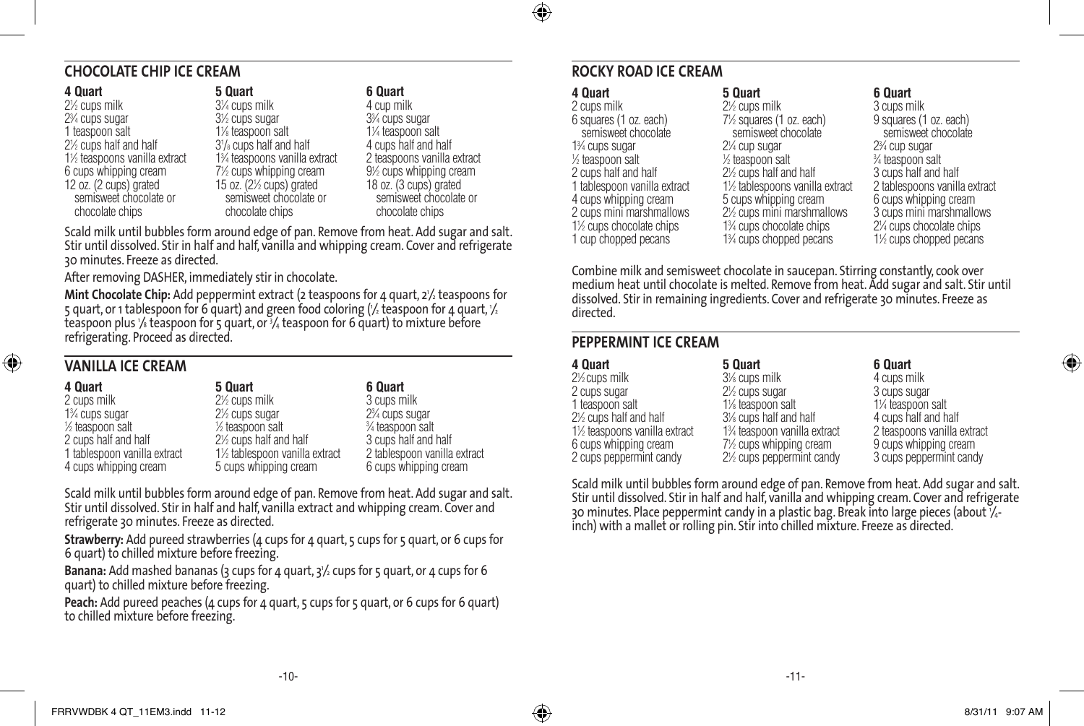## ⊕

#### **CHOCOLATE CHIP ICE CREAM**

**4 Quart** 21 ⁄2 cups milk 23 ⁄4 cups sugar 1 teaspoon salt 21 ⁄2 cups half and half 11 ⁄2 teaspoons vanilla extract 6 cups whipping cream 12 oz. (2 cups) grated semisweet chocolate or chocolate chips

**5 Quart** 31 ⁄4 cups milk 31 ⁄2 cups sugar 11 ⁄8 teaspoon salt 31 /8 cups half and half 13 ⁄4 teaspoons vanilla extract 71 ⁄2 cups whipping cream 15 oz.  $(2\% \text{ cups})$  grated semisweet chocolate or chocolate chips

#### **6 Quart**

4 cup milk 33 ⁄4 cups sugar 11 ⁄4 teaspoon salt 4 cups half and half 2 teaspoons vanilla extract 91 ⁄2 cups whipping cream 18 oz. (3 cups) grated semisweet chocolate or chocolate chips

Scald milk until bubbles form around edge of pan. Remove from heat. Add sugar and salt. Stir until dissolved. Stir in half and half, vanilla and whipping cream. Cover and refrigerate 30 minutes. Freeze as directed.

After removing DASHER, immediately stir in chocolate.

**Mint Chocolate Chip:** Add peppermint extract (2 teaspoons for 4 quart, 2½ teaspoons for 5 quart, or 1 tablespoon for 6 quart) and green food coloring (½ teaspoon for 4 quart, ½ teaspoon plus <sup>1</sup> ⁄8 teaspoon for 5 quart, or <sup>3</sup> ⁄4 teaspoon for 6 quart) to mixture before refrigerating. Proceed as directed.

#### **VANILLA ICE CREAM**

⊕

| 5 Quart                                          | 6 Quart                                  |
|--------------------------------------------------|------------------------------------------|
| $2\frac{1}{2}$ cups milk                         | 3 cups milk                              |
| 2 <sup>1</sup> / <sub>2</sub> cups sugar         | 2 <sup>3</sup> / <sub>4</sub> cups sugar |
| 1/ <sub>2</sub> teaspoon salt                    | 3⁄4 teaspoon salt                        |
| 2 <sup>1</sup> / <sub>2</sub> cups half and half | 3 cups half and half                     |
| 1½ tablespoon vanilla extract                    | 2 tablespoon vanilla extract             |
| 5 cups whipping cream                            | 6 cups whipping cream                    |
|                                                  |                                          |

Scald milk until bubbles form around edge of pan. Remove from heat. Add sugar and salt. Stir until dissolved. Stir in half and half, vanilla extract and whipping cream. Cover and refrigerate 30 minutes. Freeze as directed.

**Strawberry:** Add pureed strawberries (4 cups for 4 quart, 5 cups for 5 quart, or 6 cups for 6 quart) to chilled mixture before freezing.

**Banana:** Add mashed bananas (3 cups for 4 quart, 3'/2 cups for 5 quart, or 4 cups for 6 quart) to chilled mixture before freezing.

Peach: Add pureed peaches (4 cups for 4 quart, 5 cups for 5 quart, or 6 cups for 6 quart) to chilled mixture before freezing.

#### **ROCKY ROAD ICE CREAM**

#### **4 Quart**

2 cups milk 6 squares (1 oz. each) semisweet chocolate 13 ⁄4 cups sugar 1 ⁄2 teaspoon salt 2 cups half and half 1 tablespoon vanilla extract 4 cups whipping cream 2 cups mini marshmallows 1<sup>1/2</sup> cups chocolate chips 1 cup chopped pecans

#### **5 Quart** 2<sup>1/2</sup> cups milk 71 ⁄2 squares (1 oz. each) semisweet chocolate 21 ⁄4 cup sugar 1 ⁄2 teaspoon salt 21 ⁄2 cups half and half 11 ⁄2 tablespoons vanilla extract 5 cups whipping cream 21 ⁄2 cups mini marshmallows 13 ⁄4 cups chocolate chips 13 ⁄4 cups chopped pecans

**6 Quart** 3 cups milk 9 squares (1 oz. each) semisweet chocolate 23 ⁄4 cup sugar 3 ⁄4 teaspoon salt 3 cups half and half 2 tablespoons vanilla extract 6 cups whipping cream 3 cups mini marshmallows 21 ⁄4 cups chocolate chips 11 ⁄2 cups chopped pecans

Combine milk and semisweet chocolate in saucepan. Stirring constantly, cook over medium heat until chocolate is melted. Remove from heat. Add sugar and salt. Stir until dissolved. Stir in remaining ingredients. Cover and refrigerate 30 minutes. Freeze as directed.

#### **PEPPERMINT ICE CREAM**

| 4 Quart                                          | 5 Quart                                             | 6 Quart                     |
|--------------------------------------------------|-----------------------------------------------------|-----------------------------|
| $2\frac{1}{2}$ cups milk                         | 3% cups milk                                        | 4 cups milk                 |
| 2 cups sugar                                     | 2 <sup>1/2</sup> cups sugar                         | 3 cups sugar                |
| 1 teaspoon salt                                  | 1% teaspoon salt                                    | 1¼ teaspoon salt            |
| 2 <sup>1</sup> / <sub>2</sub> cups half and half | 3% cups half and half                               | 4 cups half and half        |
| 1½ teaspoons vanilla extract                     | 1% teaspoon vanilla extract                         | 2 teaspoons vanilla extract |
| 6 cups whipping cream                            | 7½ cups whipping cream                              | 9 cups whipping cream       |
| 2 cups peppermint candy                          | 2 <sup>1</sup> / <sub>2</sub> cups peppermint candy | 3 cups peppermint candy     |

Scald milk until bubbles form around edge of pan. Remove from heat. Add sugar and salt. Stir until dissolved. Stir in half and half, vanilla and whipping cream. Cover and refrigerate 30 minutes. Place peppermint candy in a plastic bag. Break into large pieces (about <sup>1</sup> ⁄4 inch) with a mallet or rolling pin. Stir into chilled mixture. Freeze as directed.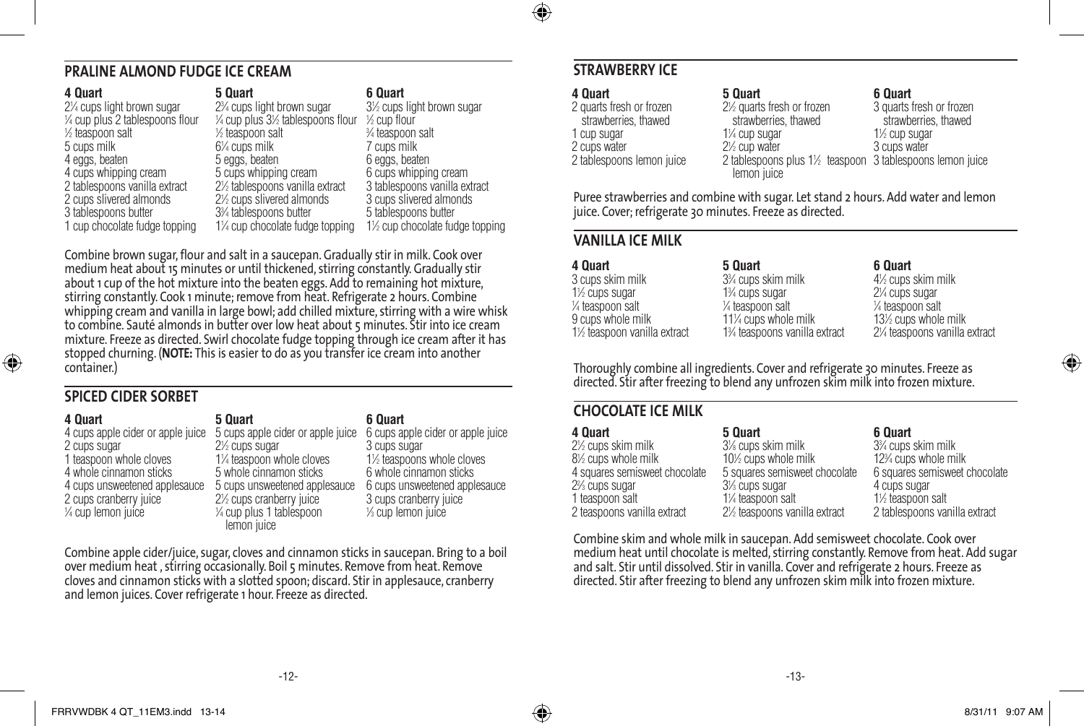#### **PRALINE ALMOND FUDGE ICE CREAM**

| 5 Quart                                              | 6 Quart                                                                                                                                                                                                  |
|------------------------------------------------------|----------------------------------------------------------------------------------------------------------------------------------------------------------------------------------------------------------|
| 2 <sup>3</sup> / <sub>4</sub> cups light brown sugar | 3½ cups light brown sugar                                                                                                                                                                                |
|                                                      | $\frac{1}{2}$ cup flour                                                                                                                                                                                  |
| 1/ <sub>2</sub> teaspoon salt                        | 3⁄4 teaspoon salt                                                                                                                                                                                        |
|                                                      | 7 cups milk                                                                                                                                                                                              |
| 5 eggs, beaten                                       | 6 eggs, beaten                                                                                                                                                                                           |
|                                                      | 6 cups whipping cream                                                                                                                                                                                    |
|                                                      | 3 tablespoons vanilla extract                                                                                                                                                                            |
|                                                      | 3 cups slivered almonds                                                                                                                                                                                  |
|                                                      | 5 tablespoons butter                                                                                                                                                                                     |
|                                                      | 1½ cup chocolate fudge topping                                                                                                                                                                           |
|                                                      | 1/4 cup plus 31/2 tablespoons flour<br>$6\%$ cups milk<br>5 cups whipping cream<br>2½ tablespoons vanilla extract<br>2½ cups slivered almonds<br>3% tablespoons butter<br>1¼ cup chocolate fudge topping |

Combine brown sugar, flour and salt in a saucepan. Gradually stir in milk. Cook over medium heat about 15 minutes or until thickened, stirring constantly.Gradually stir about 1 cup of the hot mixture into the beaten eggs. Add to remaining hot mixture, stirring constantly. Cook 1 minute; remove from heat. Refrigerate 2 hours. Combine whipping cream and vanilla in large bowl; add chilled mixture, stirring with a wire whisk to combine. Sauté almonds in butter over low heat about 5 minutes. Stir into ice cream mixture. Freeze as directed. Swirl chocolate fudge topping through ice cream after it has stopped churning. (**NOTE:** This is easier to do as you transfer ice cream into another container.)

#### **SPICED CIDER SORBET**

⊕

| 4 Quart                           | 5 Quart                                            | 6 Quart                           |
|-----------------------------------|----------------------------------------------------|-----------------------------------|
| 4 cups apple cider or apple juice | 5 cups apple cider or apple juice                  | 6 cups apple cider or apple juice |
| 2 cups sugar                      | 2 <sup>1/2</sup> cups sugar                        | 3 cups sugar                      |
| 1 teaspoon whole cloves           | 1¼ teaspoon whole cloves                           | 1½ teaspoons whole cloves         |
| 4 whole cinnamon sticks           | 5 whole cinnamon sticks                            | 6 whole cinnamon sticks           |
| 4 cups unsweetened applesauce     | 5 cups unsweetened applesauce                      | 6 cups unsweetened applesauce     |
| 2 cups cranberry juice            | 2 <sup>1</sup> / <sub>2</sub> cups cranberry juice | 3 cups cranberry juice            |
| 1/4 cup lemon juice               | $\frac{1}{4}$ cup plus 1 tablespoon                | 1/ <sub>3</sub> cup lemon juice   |
|                                   | lemon juice                                        |                                   |

Combine apple cider/juice, sugar, cloves and cinnamon sticks in saucepan. Bring to a boil over medium heat , stirring occasionally. Boil 5 minutes. Remove from heat. Remove cloves and cinnamon sticks with a slotted spoon; discard. Stir in applesauce, cranberry and lemon juices. Cover refrigerate 1 hour. Freeze as directed.

#### **STRAWBERRY ICE**

## **4 Quart**

⊕

2 quarts fresh or frozen strawberries, thawed 1 cup sugar 2 cups water 2 tablespoons lemon juice

#### **5 Quart**

11 ⁄4 cup sugar 21 ⁄2 cup water

lemon juice

21 ⁄2 quarts fresh or frozen strawberries, thawed 2 tablespoons plus 1½ teaspoon 3 tablespoons lemon juice **6 Quart** 3 quarts fresh or frozen strawberries, thawed 11 ⁄2 cup sugar 3 cups water

Puree strawberries and combine with sugar. Let stand 2 hours. Add water and lemon juice. Cover; refrigerate 30 minutes. Freeze as directed.

#### **VANILLA ICE MILK**

| 4 Quart                       | 5 Quart                                      | 6 Quart                      |
|-------------------------------|----------------------------------------------|------------------------------|
| 3 cups skim milk              | 3 <sup>3</sup> / <sub>4</sub> cups skim milk | 41/2 cups skim milk          |
| 1 <sup>/2</sup> cups sugar    | 1 <sup>3</sup> / <sub>4</sub> cups sugar     | 2¼ cups sugar                |
| 1/ <sub>4</sub> teaspoon salt | 1/ <sub>4</sub> teaspoon salt                | $\frac{1}{4}$ teaspoon salt  |
| 9 cups whole milk             | 11% cups whole milk                          | 13½ cups whole milk          |
| 1½ teaspoon vanilla extract   | 1% teaspoons vanilla extract                 | 2¼ teaspoons vanilla extract |

Thoroughly combine all ingredients. Cover and refrigerate 30 minutes. Freeze as directed. Stir after freezing to blend any unfrozen skim milk into frozen mixture.

#### **CHOCOLATE ICE MILK**

| 4 Quart                       | 5 Quart                                  | 6 Quart                                        |
|-------------------------------|------------------------------------------|------------------------------------------------|
| 2½ cups skim milk             | 3% cups skim milk                        | 3 <sup>3</sup> / <sub>4</sub> cups skim milk   |
| 8½ cups whole milk            | 10 <sup>%</sup> cups whole milk          | 12 <sup>3</sup> / <sub>4</sub> cups whole milk |
| 4 squares semisweet chocolate | 5 squares semisweet chocolate            | 6 squares semisweet chocolate                  |
| 2% cups sugar                 | 3 <sup>1</sup> / <sub>3</sub> cups sugar | 4 cups sugar                                   |
| 1 teaspoon salt               | 1¼ teaspoon salt                         | 1 <sup>1</sup> / <sub>2</sub> teaspoon salt    |
| 2 teaspoons vanilla extract   | 2½ teaspoons vanilla extract             | 2 tablespoons vanilla extract                  |

Combine skim and whole milk in saucepan. Add semisweet chocolate. Cook over medium heat until chocolate is melted, stirring constantly. Remove from heat. Add sugar and salt. Stir until dissolved. Stir in vanilla. Cover and refrigerate 2 hours. Freeze as directed. Stir after freezing to blend any unfrozen skim milk into frozen mixture.

♠